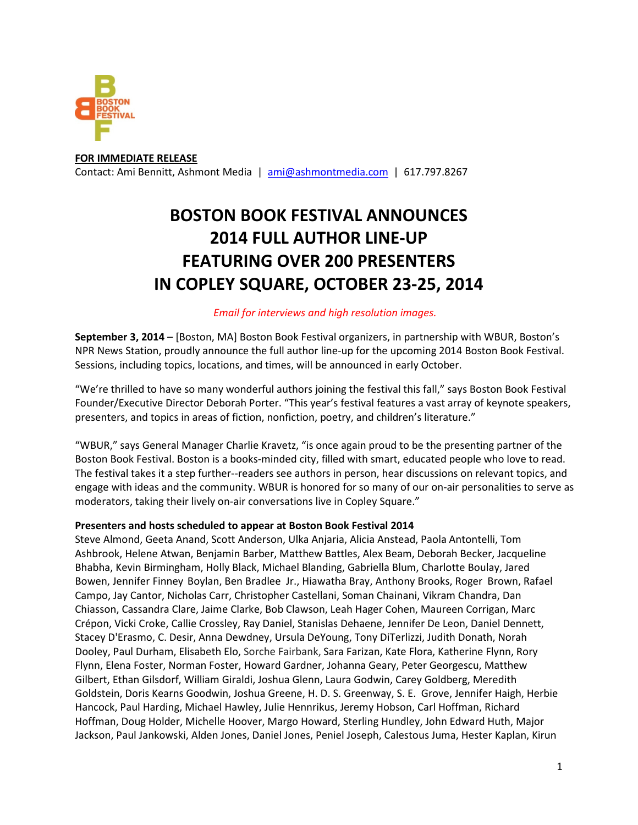

**FOR IMMEDIATE RELEASE**  Contact: Ami Bennitt, Ashmont Media | ami@ashmontmedia.com | 617.797.8267

# **BOSTON BOOK FESTIVAL ANNOUNCES 2014 FULL AUTHOR LINE-UP FEATURING OVER 200 PRESENTERS IN COPLEY SQUARE, OCTOBER 23-25, 2014**

# *Email for interviews and high resolution images.*

**September 3, 2014** – [Boston, MA] Boston Book Festival organizers, in partnership with WBUR, Boston's NPR News Station, proudly announce the full author line-up for the upcoming 2014 Boston Book Festival. Sessions, including topics, locations, and times, will be announced in early October.

"We're thrilled to have so many wonderful authors joining the festival this fall," says Boston Book Festival Founder/Executive Director Deborah Porter. "This year's festival features a vast array of keynote speakers, presenters, and topics in areas of fiction, nonfiction, poetry, and children's literature."

"WBUR," says General Manager Charlie Kravetz, "is once again proud to be the presenting partner of the Boston Book Festival. Boston is a books-minded city, filled with smart, educated people who love to read. The festival takes it a step further--readers see authors in person, hear discussions on relevant topics, and engage with ideas and the community. WBUR is honored for so many of our on-air personalities to serve as moderators, taking their lively on-air conversations live in Copley Square."

### **Presenters and hosts scheduled to appear at Boston Book Festival 2014**

Steve Almond, Geeta Anand, Scott Anderson, Ulka Anjaria, Alicia Anstead, Paola Antontelli, Tom Ashbrook, Helene Atwan, Benjamin Barber, Matthew Battles, Alex Beam, Deborah Becker, Jacqueline Bhabha, Kevin Birmingham, Holly Black, Michael Blanding, Gabriella Blum, Charlotte Boulay, Jared Bowen, Jennifer Finney Boylan, Ben Bradlee Jr., Hiawatha Bray, Anthony Brooks, Roger Brown, Rafael Campo, Jay Cantor, Nicholas Carr, Christopher Castellani, Soman Chainani, Vikram Chandra, Dan Chiasson, Cassandra Clare, Jaime Clarke, Bob Clawson, Leah Hager Cohen, Maureen Corrigan, Marc Crépon, Vicki Croke, Callie Crossley, Ray Daniel, Stanislas Dehaene, Jennifer De Leon, Daniel Dennett, Stacey D'Erasmo, C. Desir, Anna Dewdney, Ursula DeYoung, Tony DiTerlizzi, Judith Donath, Norah Dooley, Paul Durham, Elisabeth Elo, Sorche Fairbank, Sara Farizan, Kate Flora, Katherine Flynn, Rory Flynn, Elena Foster, Norman Foster, Howard Gardner, Johanna Geary, Peter Georgescu, Matthew Gilbert, Ethan Gilsdorf, William Giraldi, Joshua Glenn, Laura Godwin, Carey Goldberg, Meredith Goldstein, Doris Kearns Goodwin, Joshua Greene, H. D. S. Greenway, S. E. Grove, Jennifer Haigh, Herbie Hancock, Paul Harding, Michael Hawley, Julie Hennrikus, Jeremy Hobson, Carl Hoffman, Richard Hoffman, Doug Holder, Michelle Hoover, Margo Howard, Sterling Hundley, John Edward Huth, Major Jackson, Paul Jankowski, Alden Jones, Daniel Jones, Peniel Joseph, Calestous Juma, Hester Kaplan, Kirun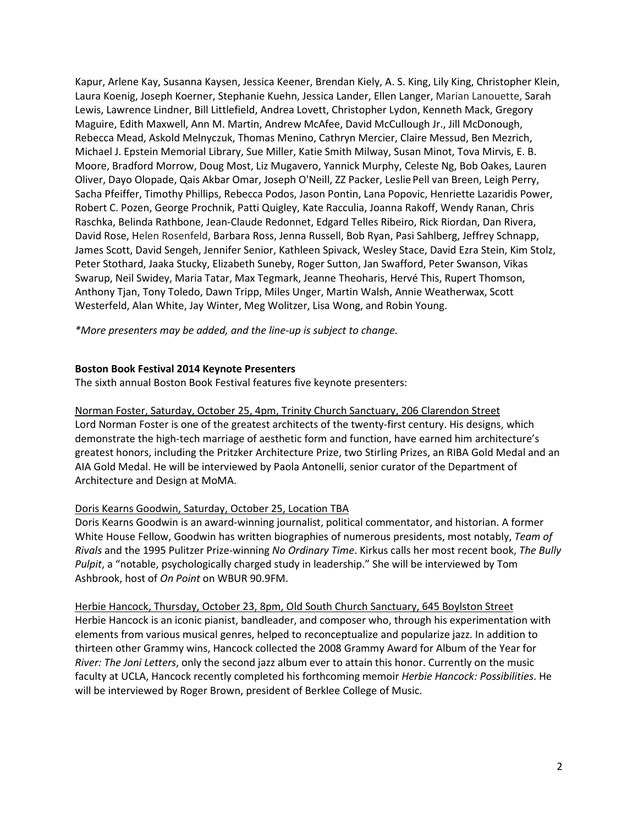Kapur, Arlene Kay, Susanna Kaysen, Jessica Keener, Brendan Kiely, A. S. King, Lily King, Christopher Klein, Laura Koenig, Joseph Koerner, Stephanie Kuehn, Jessica Lander, Ellen Langer, Marian Lanouette, Sarah Lewis, Lawrence Lindner, Bill Littlefield, Andrea Lovett, Christopher Lydon, Kenneth Mack, Gregory Maguire, Edith Maxwell, Ann M. Martin, Andrew McAfee, David McCullough Jr., Jill McDonough, Rebecca Mead, Askold Melnyczuk, Thomas Menino, Cathryn Mercier, Claire Messud, Ben Mezrich, Michael J. Epstein Memorial Library, Sue Miller, Katie Smith Milway, Susan Minot, Tova Mirvis, E. B. Moore, Bradford Morrow, Doug Most, Liz Mugavero, Yannick Murphy, Celeste Ng, Bob Oakes, Lauren Oliver, Dayo Olopade, Qais Akbar Omar, Joseph O'Neill, ZZ Packer, Leslie Pell van Breen, Leigh Perry, Sacha Pfeiffer, Timothy Phillips, Rebecca Podos, Jason Pontin, Lana Popovic, Henriette Lazaridis Power, Robert C. Pozen, George Prochnik, Patti Quigley, Kate Racculia, Joanna Rakoff, Wendy Ranan, Chris Raschka, Belinda Rathbone, Jean-Claude Redonnet, Edgard Telles Ribeiro, Rick Riordan, Dan Rivera, David Rose, Helen Rosenfeld, Barbara Ross, Jenna Russell, Bob Ryan, Pasi Sahlberg, Jeffrey Schnapp, James Scott, David Sengeh, Jennifer Senior, Kathleen Spivack, Wesley Stace, David Ezra Stein, Kim Stolz, Peter Stothard, Jaaka Stucky, Elizabeth Suneby, Roger Sutton, Jan Swafford, Peter Swanson, Vikas Swarup, Neil Swidey, Maria Tatar, Max Tegmark, Jeanne Theoharis, Hervé This, Rupert Thomson, Anthony Tjan, Tony Toledo, Dawn Tripp, Miles Unger, Martin Walsh, Annie Weatherwax, Scott Westerfeld, Alan White, Jay Winter, Meg Wolitzer, Lisa Wong, and Robin Young.

*\*More presenters may be added, and the line-up is subject to change.* 

#### **Boston Book Festival 2014 Keynote Presenters**

The sixth annual Boston Book Festival features five keynote presenters:

Norman Foster, Saturday, October 25, 4pm, Trinity Church Sanctuary, 206 Clarendon Street

Lord Norman Foster is one of the greatest architects of the twenty-first century. His designs, which demonstrate the high-tech marriage of aesthetic form and function, have earned him architecture's greatest honors, including the Pritzker Architecture Prize, two Stirling Prizes, an RIBA Gold Medal and an AIA Gold Medal. He will be interviewed by Paola Antonelli, senior curator of the Department of Architecture and Design at MoMA.

#### Doris Kearns Goodwin, Saturday, October 25, Location TBA

Doris Kearns Goodwin is an award-winning journalist, political commentator, and historian. A former White House Fellow, Goodwin has written biographies of numerous presidents, most notably, *Team of Rivals* and the 1995 Pulitzer Prize-winning *No Ordinary Time*. Kirkus calls her most recent book, *The Bully Pulpit*, a "notable, psychologically charged study in leadership." She will be interviewed by Tom Ashbrook, host of *On Point* on WBUR 90.9FM.

Herbie Hancock, Thursday, October 23, 8pm, Old South Church Sanctuary, 645 Boylston Street Herbie Hancock is an iconic pianist, bandleader, and composer who, through his experimentation with elements from various musical genres, helped to reconceptualize and popularize jazz. In addition to thirteen other Grammy wins, Hancock collected the 2008 Grammy Award for Album of the Year for *River: The Joni Letters*, only the second jazz album ever to attain this honor. Currently on the music faculty at UCLA, Hancock recently completed his forthcoming memoir *Herbie Hancock: Possibilities*. He will be interviewed by Roger Brown, president of Berklee College of Music.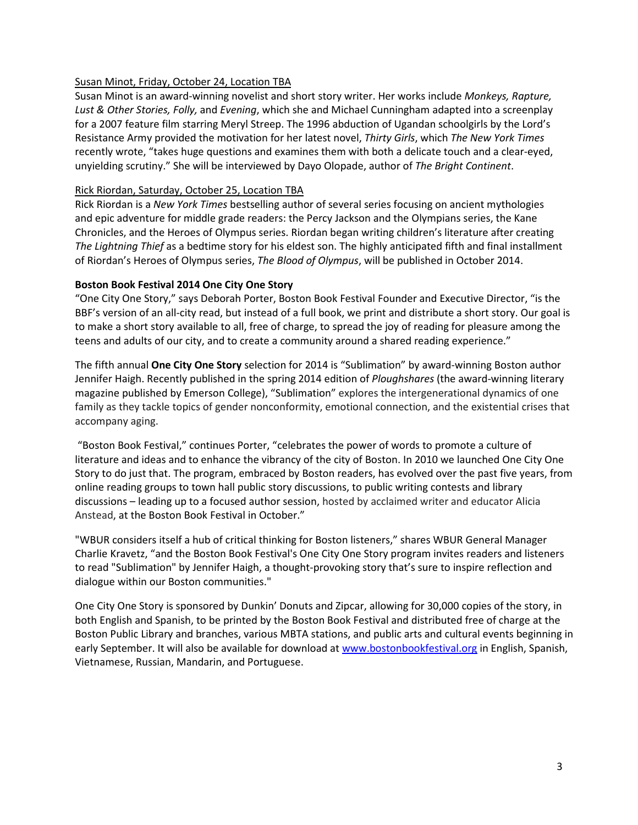# Susan Minot, Friday, October 24, Location TBA

Susan Minot is an award-winning novelist and short story writer. Her works include *Monkeys, Rapture, Lust & Other Stories, Folly,* and *Evening*, which she and Michael Cunningham adapted into a screenplay for a 2007 feature film starring Meryl Streep. The 1996 abduction of Ugandan schoolgirls by the Lord's Resistance Army provided the motivation for her latest novel, *Thirty Girls*, which *The New York Times* recently wrote, "takes huge questions and examines them with both a delicate touch and a clear-eyed, unyielding scrutiny." She will be interviewed by Dayo Olopade, author of *The Bright Continent*.

# Rick Riordan, Saturday, October 25, Location TBA

Rick Riordan is a *New York Times* bestselling author of several series focusing on ancient mythologies and epic adventure for middle grade readers: the Percy Jackson and the Olympians series, the Kane Chronicles, and the Heroes of Olympus series. Riordan began writing children's literature after creating *The Lightning Thief* as a bedtime story for his eldest son. The highly anticipated fifth and final installment of Riordan's Heroes of Olympus series, *The Blood of Olympus*, will be published in October 2014.

# **Boston Book Festival 2014 One City One Story**

"One City One Story," says Deborah Porter, Boston Book Festival Founder and Executive Director, "is the BBF's version of an all-city read, but instead of a full book, we print and distribute a short story. Our goal is to make a short story available to all, free of charge, to spread the joy of reading for pleasure among the teens and adults of our city, and to create a community around a shared reading experience."

The fifth annual **One City One Story** selection for 2014 is "Sublimation" by award-winning Boston author Jennifer Haigh. Recently published in the spring 2014 edition of *Ploughshares* (the award-winning literary magazine published by Emerson College), "Sublimation" explores the intergenerational dynamics of one family as they tackle topics of gender nonconformity, emotional connection, and the existential crises that accompany aging.

 "Boston Book Festival," continues Porter, "celebrates the power of words to promote a culture of literature and ideas and to enhance the vibrancy of the city of Boston. In 2010 we launched One City One Story to do just that. The program, embraced by Boston readers, has evolved over the past five years, from online reading groups to town hall public story discussions, to public writing contests and library discussions – leading up to a focused author session, hosted by acclaimed writer and educator Alicia Anstead, at the Boston Book Festival in October."

"WBUR considers itself a hub of critical thinking for Boston listeners," shares WBUR General Manager Charlie Kravetz, "and the Boston Book Festival's One City One Story program invites readers and listeners to read "Sublimation" by Jennifer Haigh, a thought-provoking story that's sure to inspire reflection and dialogue within our Boston communities."

One City One Story is sponsored by Dunkin' Donuts and Zipcar, allowing for 30,000 copies of the story, in both English and Spanish, to be printed by the Boston Book Festival and distributed free of charge at the Boston Public Library and branches, various MBTA stations, and public arts and cultural events beginning in early September. It will also be available for download at www.bostonbookfestival.org in English, Spanish, Vietnamese, Russian, Mandarin, and Portuguese.